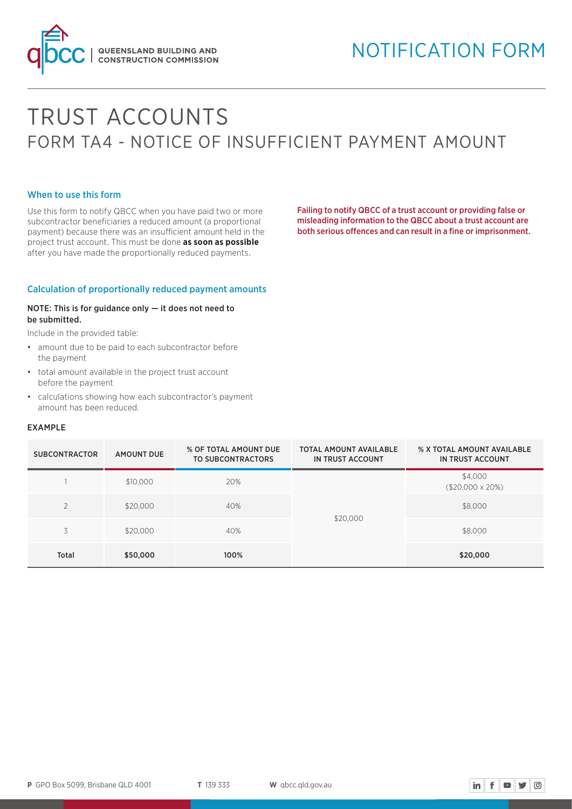

# TRUST ACCOUNTS FORM TA4 - NOTICE OF INSUFFICIENT PAYMENT AMOUNT

#### When to use this form

Use this form to notify QBCC when you have paid two or more subcontractor beneficiaries a reduced amount (a proportional payment) because there was an insufficient amount held in the project trust account. This must be done **as soon as possible** after you have made the proportionally reduced payments.

Failing to notify QBCC of a trust account or providing false or misleading information to the QBCC about a trust account are both serious offences and can result in a fine or imprisonment.

## Calculation of proportionally reduced payment amounts

## NOTE: This is for guidance only — it does not need to be submitted.

Include in the provided table:

- amount due to be paid to each subcontractor before the payment
- total amount available in the project trust account before the payment
- calculations showing how each subcontractor's payment amount has been reduced.

## EXAMPLE

| <b>SUBCONTRACTOR</b>     | <b>AMOUNT DUE</b> | % OF TOTAL AMOUNT DUE<br><b>TO SUBCONTRACTORS</b> | <b>TOTAL AMOUNT AVAILABLE</b><br>IN TRUST ACCOUNT | <b>% X TOTAL AMOUNT AVAILABLE</b><br>IN TRUST ACCOUNT |  |  |  |  |
|--------------------------|-------------------|---------------------------------------------------|---------------------------------------------------|-------------------------------------------------------|--|--|--|--|
|                          | \$10,000          | 20%                                               |                                                   | \$4,000<br>$($20,000 \times 20\%)$                    |  |  |  |  |
| $\overline{\phantom{a}}$ | \$20,000          | 40%                                               |                                                   | \$8,000                                               |  |  |  |  |
| 3                        | \$20,000          | 40%                                               | \$20,000<br>\$8,000                               |                                                       |  |  |  |  |
| <b>Total</b>             | \$50,000          | 100%                                              |                                                   | \$20,000                                              |  |  |  |  |

$$
\boxed{\text{in} \quad \text{f} \quad \text{or} \quad \text{y} \quad \text{0}}
$$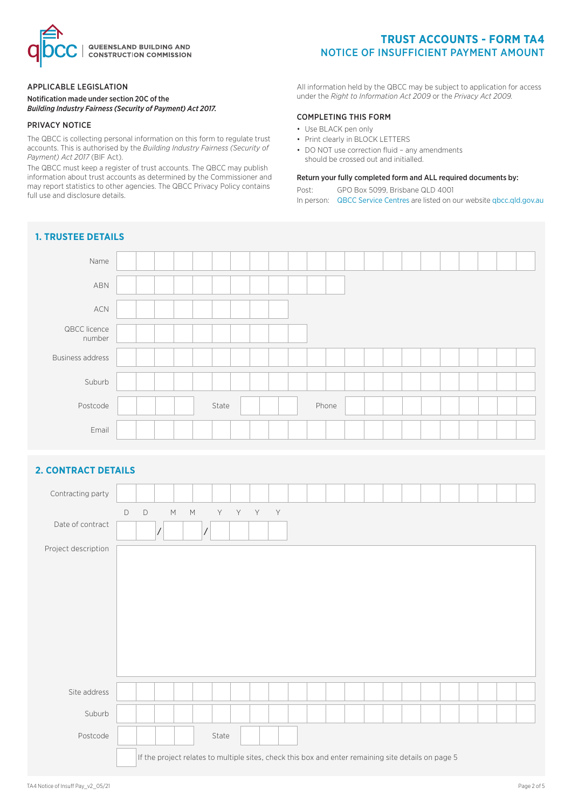

## **TRUST ACCOUNTS - FORM TA4** NOTICE OF INSUFFICIENT PAYMENT AMOUNT

## APPLICABLE LEGISLATION

#### Notification made under section 20C of the *Building Industry Fairness (Security of Payment) Act 2017.*

#### PRIVACY NOTICE

The QBCC is collecting personal information on this form to regulate trust accounts. This is authorised by the *Building Industry Fairness (Security of Payment) Act 2017* (BIF Act).

The QBCC must keep a register of trust accounts. The QBCC may publish information about trust accounts as determined by the Commissioner and may report statistics to other agencies. The QBCC Privacy Policy contains full use and disclosure details.

All information held by the QBCC may be subject to application for access under the *Right to Information Act 2009* or the *Privacy Act 2009.*

#### COMPLETING THIS FORM

- Use BLACK pen only
- Print clearly in BLOCK LETTERS
- DO NOT use correction fluid any amendments should be crossed out and initialled.

#### Return your fully completed form and ALL required documents by:

Post: GPO Box 5099, Brisbane QLD 4001

In person: [QBCC Service Centres](www.qbcc.qld.gov.au/locate-office) are listed on our website [qbcc.qld.gov.au](http://qbcc.qld.gov.au )

## **1. TRUSTEE DETAILS** Name ABN ACN QBCC licence number Business address Suburb Postcode Natural March 1991 State Natural March 2016 Email

## **2. CONTRACT DETAILS**

| Contracting party   |                                                                                                     |             |   |   |         |  |  |  |  |  |  |  |  |  |  |  |  |
|---------------------|-----------------------------------------------------------------------------------------------------|-------------|---|---|---------|--|--|--|--|--|--|--|--|--|--|--|--|
| Date of contract    | D                                                                                                   | $\mathsf D$ | M | M | Y Y Y Y |  |  |  |  |  |  |  |  |  |  |  |  |
| Project description |                                                                                                     |             |   |   |         |  |  |  |  |  |  |  |  |  |  |  |  |
| Site address        |                                                                                                     |             |   |   |         |  |  |  |  |  |  |  |  |  |  |  |  |
| Suburb              |                                                                                                     |             |   |   |         |  |  |  |  |  |  |  |  |  |  |  |  |
| Postcode            |                                                                                                     |             |   |   | State   |  |  |  |  |  |  |  |  |  |  |  |  |
|                     | If the project relates to multiple sites, check this box and enter remaining site details on page 5 |             |   |   |         |  |  |  |  |  |  |  |  |  |  |  |  |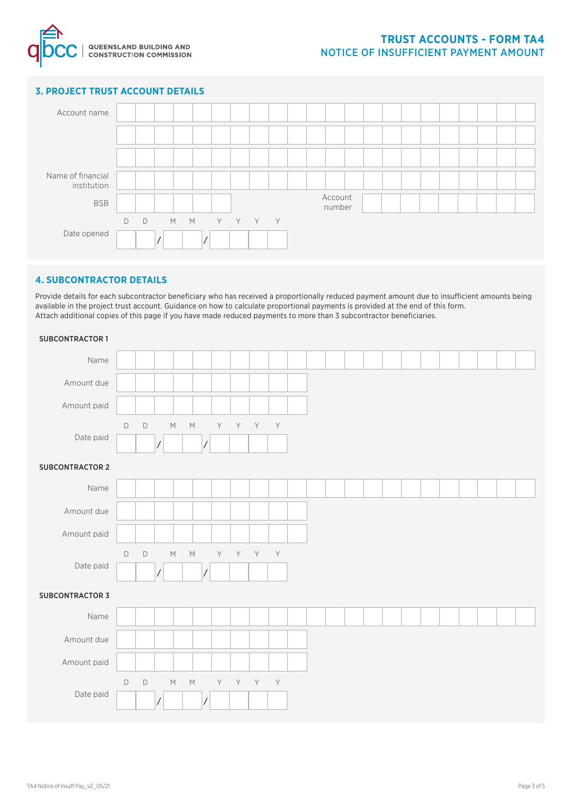

#### **3. PROJECT TRUST ACCOUNT DETAILS**



## **4. SUBCONTRACTOR DETAILS**

Provide details for each subcontractor beneficiary who has received a proportionally reduced payment amount due to insufficient amounts being available in the project trust account. Guidance on how to calculate proportional payments is provided at the end of this form. Attach additional copies of this page if you have made reduced payments to more than 3 subcontractor beneficiaries.

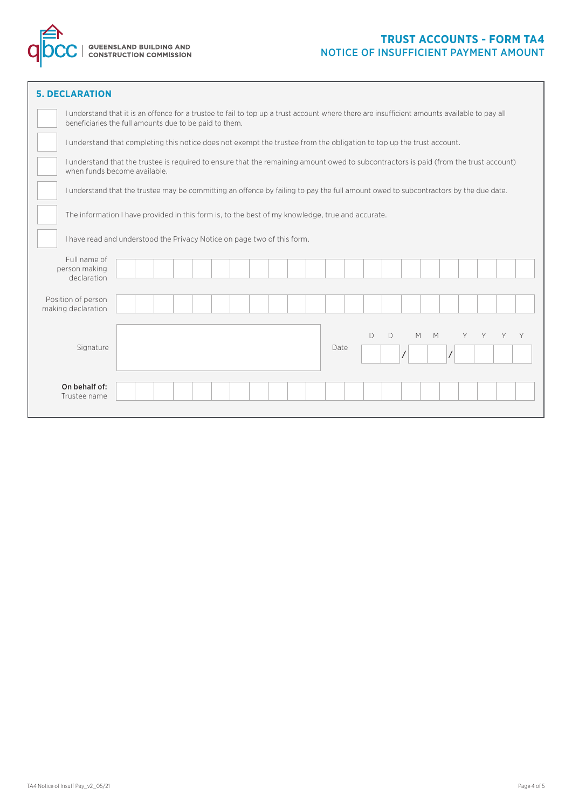

| <b>5. DECLARATION</b>                                                                                                 |                                                                                                                                                                                                        |  |  |  |  |  |  |  |  |  |  |      |  |              |              |        |     |     |  |
|-----------------------------------------------------------------------------------------------------------------------|--------------------------------------------------------------------------------------------------------------------------------------------------------------------------------------------------------|--|--|--|--|--|--|--|--|--|--|------|--|--------------|--------------|--------|-----|-----|--|
|                                                                                                                       | I understand that it is an offence for a trustee to fail to top up a trust account where there are insufficient amounts available to pay all<br>beneficiaries the full amounts due to be paid to them. |  |  |  |  |  |  |  |  |  |  |      |  |              |              |        |     |     |  |
| I understand that completing this notice does not exempt the trustee from the obligation to top up the trust account. |                                                                                                                                                                                                        |  |  |  |  |  |  |  |  |  |  |      |  |              |              |        |     |     |  |
|                                                                                                                       | I understand that the trustee is required to ensure that the remaining amount owed to subcontractors is paid (from the trust account)<br>when funds become available.                                  |  |  |  |  |  |  |  |  |  |  |      |  |              |              |        |     |     |  |
|                                                                                                                       | I understand that the trustee may be committing an offence by failing to pay the full amount owed to subcontractors by the due date.                                                                   |  |  |  |  |  |  |  |  |  |  |      |  |              |              |        |     |     |  |
|                                                                                                                       | The information I have provided in this form is, to the best of my knowledge, true and accurate.                                                                                                       |  |  |  |  |  |  |  |  |  |  |      |  |              |              |        |     |     |  |
| I have read and understood the Privacy Notice on page two of this form.                                               |                                                                                                                                                                                                        |  |  |  |  |  |  |  |  |  |  |      |  |              |              |        |     |     |  |
| Full name of<br>person making<br>declaration                                                                          |                                                                                                                                                                                                        |  |  |  |  |  |  |  |  |  |  |      |  |              |              |        |     |     |  |
| Position of person<br>making declaration                                                                              |                                                                                                                                                                                                        |  |  |  |  |  |  |  |  |  |  |      |  |              |              |        |     |     |  |
| Signature                                                                                                             |                                                                                                                                                                                                        |  |  |  |  |  |  |  |  |  |  | Date |  | $\mathsf{D}$ | $\mathsf{D}$ | M<br>M | Y Y | Y Y |  |
| On behalf of:<br>Trustee name                                                                                         |                                                                                                                                                                                                        |  |  |  |  |  |  |  |  |  |  |      |  |              |              |        |     |     |  |